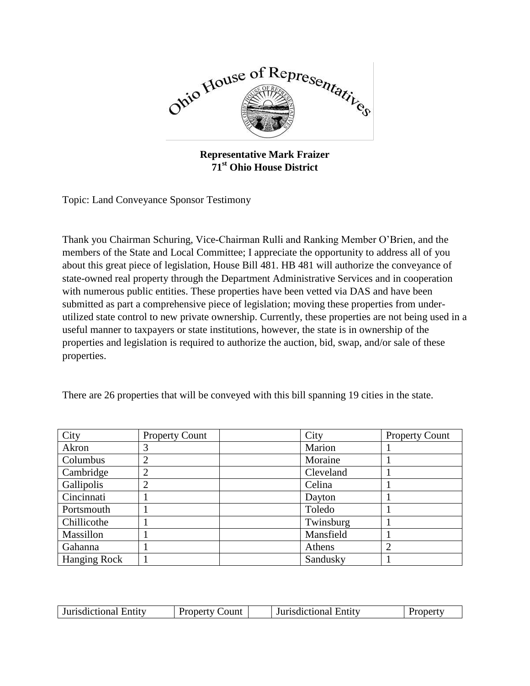

## **Representative Mark Fraizer 71st Ohio House District**

Topic: Land Conveyance Sponsor Testimony

Thank you Chairman Schuring, Vice-Chairman Rulli and Ranking Member O'Brien, and the members of the State and Local Committee; I appreciate the opportunity to address all of you about this great piece of legislation, House Bill 481. HB 481 will authorize the conveyance of state-owned real property through the Department Administrative Services and in cooperation with numerous public entities. These properties have been vetted via DAS and have been submitted as part a comprehensive piece of legislation; moving these properties from underutilized state control to new private ownership. Currently, these properties are not being used in a useful manner to taxpayers or state institutions, however, the state is in ownership of the properties and legislation is required to authorize the auction, bid, swap, and/or sale of these properties.

There are 26 properties that will be conveyed with this bill spanning 19 cities in the state.

| City         | <b>Property Count</b> | City      | <b>Property Count</b> |
|--------------|-----------------------|-----------|-----------------------|
| Akron        | 3                     | Marion    |                       |
| Columbus     | $\overline{2}$        | Moraine   |                       |
| Cambridge    | $\overline{2}$        | Cleveland |                       |
| Gallipolis   | $\overline{2}$        | Celina    |                       |
| Cincinnati   |                       | Dayton    |                       |
| Portsmouth   |                       | Toledo    |                       |
| Chillicothe  |                       | Twinsburg |                       |
| Massillon    |                       | Mansfield |                       |
| Gahanna      |                       | Athens    |                       |
| Hanging Rock |                       | Sandusky  |                       |

| Jurisdictional<br>Entity<br>ле | ount<br>$\cdots$ | Entity<br><b>The model of the State</b><br>dictional |  |
|--------------------------------|------------------|------------------------------------------------------|--|